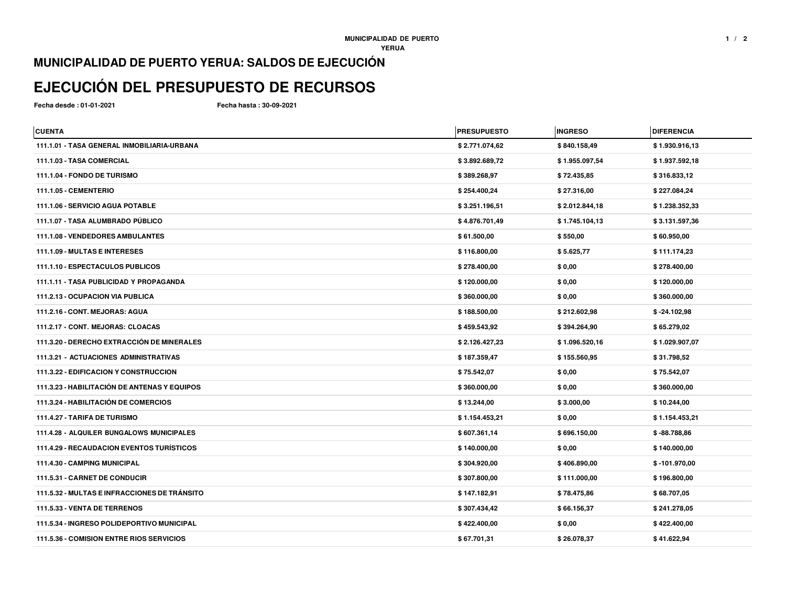## **MUNICIPALIDAD DE PUERTO YERUA: SALDOS DE EJECUCIÓN**

## **EJECUCIÓN DEL PRESUPUESTO DE RECURSOS**

**Fecha desde : 01-01-2021**

**Fecha hasta : 30-09-2021**

| <b>CUENTA</b>                                    | <b>PRESUPUESTO</b> | <b>INGRESO</b> | <b>DIFERENCIA</b> |
|--------------------------------------------------|--------------------|----------------|-------------------|
| 111.1.01 - TASA GENERAL INMOBILIARIA-URBANA      | \$2.771.074,62     | \$840.158,49   | \$1.930.916,13    |
| 111.1.03 - TASA COMERCIAL                        | \$3.892.689,72     | \$1.955.097,54 | \$1.937.592,18    |
| 111.1.04 - FONDO DE TURISMO                      | \$389.268,97       | \$72.435,85    | \$316.833,12      |
| 111.1.05 - CEMENTERIO                            | \$254.400,24       | \$27.316,00    | \$227.084,24      |
| 111.1.06 - SERVICIO AGUA POTABLE                 | \$3.251.196,51     | \$2.012.844,18 | \$1.238.352,33    |
| 111.1.07 - TASA ALUMBRADO PÚBLICO                | \$4.876.701,49     | \$1.745.104,13 | \$3.131.597,36    |
| 111.1.08 - VENDEDORES AMBULANTES                 | \$61.500,00        | \$550,00       | \$60.950,00       |
| 111.1.09 - MULTAS E INTERESES                    | \$116.800,00       | \$5.625,77     | \$111.174,23      |
| 111.1.10 - ESPECTACULOS PUBLICOS                 | \$278.400,00       | \$0,00         | \$278.400,00      |
| 111.1.11 - TASA PUBLICIDAD Y PROPAGANDA          | \$120.000,00       | \$0,00         | \$120.000,00      |
| 111.2.13 - OCUPACION VIA PUBLICA                 | \$360.000,00       | \$0,00         | \$360.000,00      |
| 111.2.16 - CONT. MEJORAS: AGUA                   | \$188.500,00       | \$212.602,98   | $$ -24.102,98$    |
| 111.2.17 - CONT. MEJORAS: CLOACAS                | \$459.543,92       | \$394.264,90   | \$65.279,02       |
| 111.3.20 - DERECHO EXTRACCIÓN DE MINERALES       | \$2.126.427,23     | \$1.096.520,16 | \$1.029.907,07    |
| <b>111.3.21 - ACTUACIONES ADMINISTRATIVAS</b>    | \$187.359,47       | \$155.560,95   | \$31.798,52       |
| <b>111.3.22 - EDIFICACION Y CONSTRUCCION</b>     | \$75.542,07        | \$0,00         | \$75.542,07       |
| 111.3.23 - HABILITACIÓN DE ANTENAS Y EQUIPOS     | \$360.000,00       | \$0,00         | \$360.000,00      |
| 111.3.24 - HABILITACIÓN DE COMERCIOS             | \$13.244,00        | \$3.000,00     | \$10.244,00       |
| 111.4.27 - TARIFA DE TURISMO                     | \$1.154.453,21     | \$0,00         | \$1.154.453,21    |
| <b>111.4.28 - ALQUILER BUNGALOWS MUNICIPALES</b> | \$607.361,14       | \$696.150,00   | $$ -88.788,86$    |
| <b>111.4.29 - RECAUDACION EVENTOS TURÍSTICOS</b> | \$140.000,00       | \$0,00         | \$140.000,00      |
| 111.4.30 - CAMPING MUNICIPAL                     | \$304.920,00       | \$406.890,00   | $$ -101.970,00$   |
| 111.5.31 - CARNET DE CONDUCIR                    | \$307.800,00       | \$111.000,00   | \$196.800,00      |
| 111.5.32 - MULTAS E INFRACCIONES DE TRÁNSITO     | \$147.182,91       | \$78.475,86    | \$68.707,05       |
| 111.5.33 - VENTA DE TERRENOS                     | \$307.434,42       | \$66.156,37    | \$241.278,05      |
| 111.5.34 - INGRESO POLIDEPORTIVO MUNICIPAL       | \$422.400,00       | \$0,00         | \$422.400,00      |
| 111.5.36 - COMISION ENTRE RIOS SERVICIOS         | \$67.701,31        | \$26.078,37    | \$41.622,94       |
|                                                  |                    |                |                   |